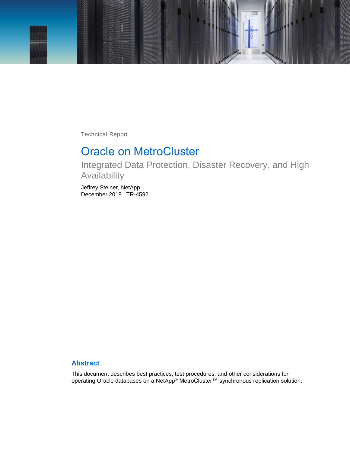

Technical Report

# Oracle on MetroCluster

Integrated Data Protection, Disaster Recovery, and High Availability

Jeffrey Steiner, NetApp December 2018 | TR-4592

### **Abstract**

This document describes best practices, test procedures, and other considerations for operating Oracle databases on a NetApp® MetroCluster™ synchronous replication solution.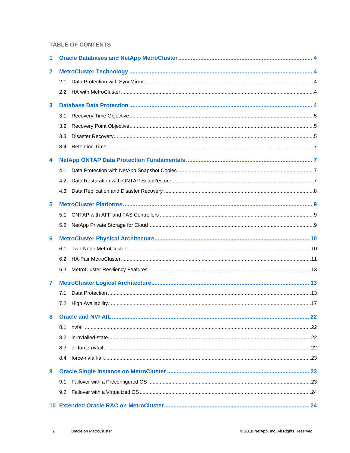#### **TABLE OF CONTENTS**

| 1                       |     |  |  |
|-------------------------|-----|--|--|
| $\mathbf{2}$            |     |  |  |
|                         | 2.1 |  |  |
|                         | 2.2 |  |  |
| $\overline{\mathbf{3}}$ |     |  |  |
|                         | 3.1 |  |  |
|                         | 3.2 |  |  |
|                         | 3.3 |  |  |
|                         | 3.4 |  |  |
| 4                       |     |  |  |
|                         | 4.1 |  |  |
|                         | 4.2 |  |  |
|                         | 4.3 |  |  |
| 5                       |     |  |  |
|                         | 5.1 |  |  |
|                         | 5.2 |  |  |
| 6                       |     |  |  |
|                         | 6.1 |  |  |
|                         | 6.2 |  |  |
|                         |     |  |  |
|                         | 6.3 |  |  |
| 7                       |     |  |  |
|                         | 7.1 |  |  |
|                         | 7.2 |  |  |
| 8                       |     |  |  |
|                         | 8.1 |  |  |
|                         | 8.2 |  |  |
|                         | 8.3 |  |  |
|                         | 8.4 |  |  |
| 9                       |     |  |  |
|                         | 9.1 |  |  |
|                         | 9.2 |  |  |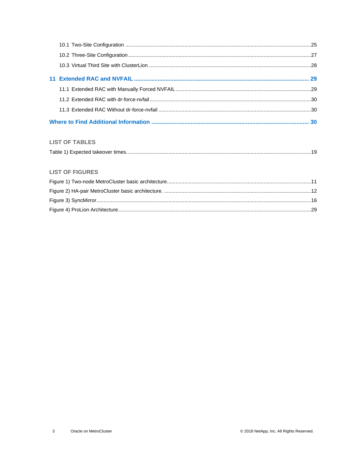#### **LIST OF TABLES**

|--|

#### **LIST OF FIGURES**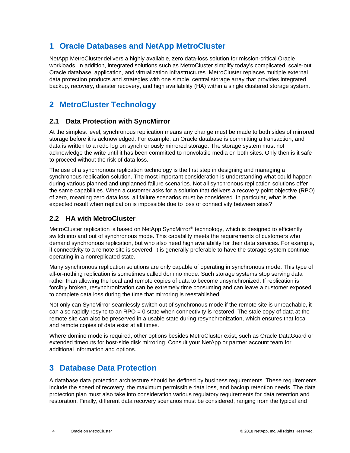## <span id="page-3-0"></span>**1 Oracle Databases and NetApp MetroCluster**

NetApp MetroCluster delivers a highly available, zero data-loss solution for mission-critical Oracle workloads. In addition, integrated solutions such as MetroCluster simplify today's complicated, scale-out Oracle database, application, and virtualization infrastructures. MetroCluster replaces multiple external data protection products and strategies with one simple, central storage array that provides integrated backup, recovery, disaster recovery, and high availability (HA) within a single clustered storage system.

## <span id="page-3-1"></span>**2 MetroCluster Technology**

### <span id="page-3-2"></span>**2.1 Data Protection with SyncMirror**

At the simplest level, synchronous replication means any change must be made to both sides of mirrored storage before it is acknowledged. For example, an Oracle database is committing a transaction, and data is written to a redo log on synchronously mirrored storage. The storage system must not acknowledge the write until it has been committed to nonvolatile media on both sites. Only then is it safe to proceed without the risk of data loss.

The use of a synchronous replication technology is the first step in designing and managing a synchronous replication solution. The most important consideration is understanding what could happen during various planned and unplanned failure scenarios. Not all synchronous replication solutions offer the same capabilities. When a customer asks for a solution that delivers a recovery point objective (RPO) of zero, meaning zero data loss, all failure scenarios must be considered. In particular, what is the expected result when replication is impossible due to loss of connectivity between sites?

## <span id="page-3-3"></span>**2.2 HA with MetroCluster**

MetroCluster replication is based on NetApp SyncMirror® technology, which is designed to efficiently switch into and out of synchronous mode. This capability meets the requirements of customers who demand synchronous replication, but who also need high availability for their data services. For example, if connectivity to a remote site is severed, it is generally preferable to have the storage system continue operating in a nonreplicated state.

Many synchronous replication solutions are only capable of operating in synchronous mode. This type of all-or-nothing replication is sometimes called domino mode. Such storage systems stop serving data rather than allowing the local and remote copies of data to become unsynchronized. If replication is forcibly broken, resynchronization can be extremely time consuming and can leave a customer exposed to complete data loss during the time that mirroring is reestablished.

Not only can SyncMirror seamlessly switch out of synchronous mode if the remote site is unreachable, it can also rapidly resync to an RPO  $= 0$  state when connectivity is restored. The stale copy of data at the remote site can also be preserved in a usable state during resynchronization, which ensures that local and remote copies of data exist at all times.

Where domino mode is required, other options besides MetroCluster exist, such as Oracle DataGuard or extended timeouts for host-side disk mirroring. Consult your NetApp or partner account team for additional information and options.

## <span id="page-3-4"></span>**3 Database Data Protection**

A database data protection architecture should be defined by business requirements. These requirements include the speed of recovery, the maximum permissible data loss, and backup retention needs. The data protection plan must also take into consideration various regulatory requirements for data retention and restoration. Finally, different data recovery scenarios must be considered, ranging from the typical and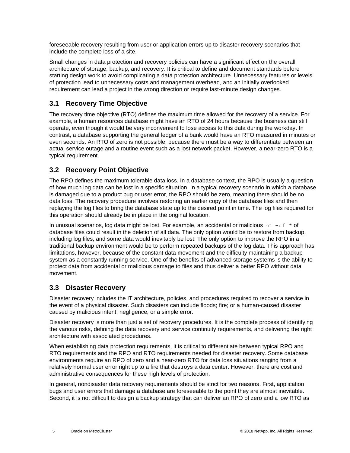foreseeable recovery resulting from user or application errors up to disaster recovery scenarios that include the complete loss of a site.

Small changes in data protection and recovery policies can have a significant effect on the overall architecture of storage, backup, and recovery. It is critical to define and document standards before starting design work to avoid complicating a data protection architecture. Unnecessary features or levels of protection lead to unnecessary costs and management overhead, and an initially overlooked requirement can lead a project in the wrong direction or require last-minute design changes.

## <span id="page-4-0"></span>**3.1 Recovery Time Objective**

The recovery time objective (RTO) defines the maximum time allowed for the recovery of a service. For example, a human resources database might have an RTO of 24 hours because the business can still operate, even though it would be very inconvenient to lose access to this data during the workday. In contrast, a database supporting the general ledger of a bank would have an RTO measured in minutes or even seconds. An RTO of zero is not possible, because there must be a way to differentiate between an actual service outage and a routine event such as a lost network packet. However, a near-zero RTO is a typical requirement.

## <span id="page-4-1"></span>**3.2 Recovery Point Objective**

The RPO defines the maximum tolerable data loss. In a database context, the RPO is usually a question of how much log data can be lost in a specific situation. In a typical recovery scenario in which a database is damaged due to a product bug or user error, the RPO should be zero, meaning there should be no data loss. The recovery procedure involves restoring an earlier copy of the database files and then replaying the log files to bring the database state up to the desired point in time. The log files required for this operation should already be in place in the original location.

In unusual scenarios, log data might be lost. For example, an accidental or malicious  $rm -rf \star of$ database files could result in the deletion of all data. The only option would be to restore from backup, including log files, and some data would inevitably be lost. The only option to improve the RPO in a traditional backup environment would be to perform repeated backups of the log data. This approach has limitations, however, because of the constant data movement and the difficulty maintaining a backup system as a constantly running service. One of the benefits of advanced storage systems is the ability to protect data from accidental or malicious damage to files and thus deliver a better RPO without data movement.

## <span id="page-4-2"></span>**3.3 Disaster Recovery**

Disaster recovery includes the IT architecture, policies, and procedures required to recover a service in the event of a physical disaster. Such disasters can include floods; fire; or a human-caused disaster caused by malicious intent, negligence, or a simple error.

Disaster recovery is more than just a set of recovery procedures. It is the complete process of identifying the various risks, defining the data recovery and service continuity requirements, and delivering the right architecture with associated procedures.

When establishing data protection requirements, it is critical to differentiate between typical RPO and RTO requirements and the RPO and RTO requirements needed for disaster recovery. Some database environments require an RPO of zero and a near-zero RTO for data loss situations ranging from a relatively normal user error right up to a fire that destroys a data center. However, there are cost and administrative consequences for these high levels of protection.

In general, nondisaster data recovery requirements should be strict for two reasons. First, application bugs and user errors that damage a database are foreseeable to the point they are almost inevitable. Second, it is not difficult to design a backup strategy that can deliver an RPO of zero and a low RTO as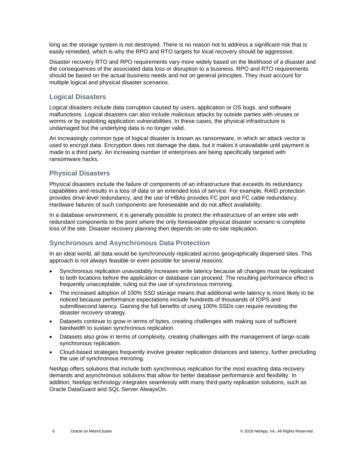long as the storage system is not destroyed. There is no reason not to address a significant risk that is easily remedied, which is why the RPO and RTO targets for local recovery should be aggressive.

Disaster recovery RTO and RPO requirements vary more widely based on the likelihood of a disaster and the consequences of the associated data loss or disruption to a business. RPO and RTO requirements should be based on the actual business needs and not on general principles. They must account for multiple logical and physical disaster scenarios.

#### **Logical Disasters**

Logical disasters include data corruption caused by users, application or OS bugs, and software malfunctions. Logical disasters can also include malicious attacks by outside parties with viruses or worms or by exploiting application vulnerabilities. In these cases, the physical infrastructure is undamaged but the underlying data is no longer valid.

An increasingly common type of logical disaster is known as ransomware, in which an attack vector is used to encrypt data. Encryption does not damage the data, but it makes it unavailable until payment is made to a third party. An increasing number of enterprises are being specifically targeted with ransomware hacks.

#### **Physical Disasters**

Physical disasters include the failure of components of an infrastructure that exceeds its redundancy capabilities and results in a loss of data or an extended loss of service. For example, RAID protection provides drive-level redundancy, and the use of HBAs provides FC port and FC cable redundancy. Hardware failures of such components are foreseeable and do not affect availability.

In a database environment, it is generally possible to protect the infrastructure of an entire site with redundant components to the point where the only foreseeable physical disaster scenario is complete loss of the site. Disaster recovery planning then depends on site-to-site replication.

## **Synchronous and Asynchronous Data Protection**

In an ideal world, all data would be synchronously replicated across geographically dispersed sites. This approach is not always feasible or even possible for several reasons:

- Synchronous replication unavoidably increases write latency because all changes must be replicated to both locations before the application or database can proceed. The resulting performance effect is frequently unacceptable, ruling out the use of synchronous mirroring.
- The increased adoption of 100% SSD storage means that additional write latency is more likely to be noticed because performance expectations include hundreds of thousands of IOPS and submillisecond latency. Gaining the full benefits of using 100% SSDs can require revisiting the disaster recovery strategy.
- Datasets continue to grow in terms of bytes, creating challenges with making sure of sufficient bandwidth to sustain synchronous replication.
- Datasets also grow in terms of complexity, creating challenges with the management of large-scale synchronous replication.
- Cloud-based strategies frequently involve greater replication distances and latency, further precluding the use of synchronous mirroring.

NetApp offers solutions that include both synchronous replication for the most exacting data recovery demands and asynchronous solutions that allow for better database performance and flexibility. In addition, NetApp technology integrates seamlessly with many third-party replication solutions, such as Oracle DataGuard and SQL Server AlwaysOn.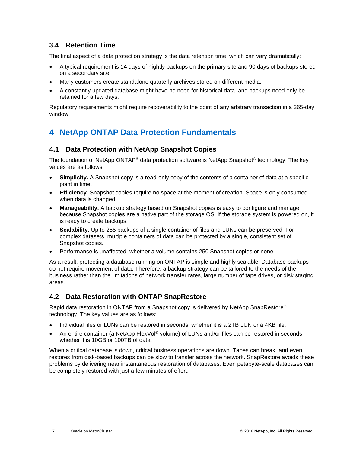### <span id="page-6-0"></span>**3.4 Retention Time**

The final aspect of a data protection strategy is the data retention time, which can vary dramatically:

- A typical requirement is 14 days of nightly backups on the primary site and 90 days of backups stored on a secondary site.
- Many customers create standalone quarterly archives stored on different media.
- A constantly updated database might have no need for historical data, and backups need only be retained for a few days.

Regulatory requirements might require recoverability to the point of any arbitrary transaction in a 365-day window.

## <span id="page-6-1"></span>**4 NetApp ONTAP Data Protection Fundamentals**

#### <span id="page-6-2"></span>**4.1 Data Protection with NetApp Snapshot Copies**

The foundation of NetApp ONTAP® data protection software is NetApp Snapshot® technology. The key values are as follows:

- **Simplicity.** A Snapshot copy is a read-only copy of the contents of a container of data at a specific point in time.
- **Efficiency.** Snapshot copies require no space at the moment of creation. Space is only consumed when data is changed.
- **Manageability.** A backup strategy based on Snapshot copies is easy to configure and manage because Snapshot copies are a native part of the storage OS. If the storage system is powered on, it is ready to create backups.
- **Scalability.** Up to 255 backups of a single container of files and LUNs can be preserved. For complex datasets, multiple containers of data can be protected by a single, consistent set of Snapshot copies.
- Performance is unaffected, whether a volume contains 250 Snapshot copies or none.

As a result, protecting a database running on ONTAP is simple and highly scalable. Database backups do not require movement of data. Therefore, a backup strategy can be tailored to the needs of the business rather than the limitations of network transfer rates, large number of tape drives, or disk staging areas.

#### <span id="page-6-3"></span>**4.2 Data Restoration with ONTAP SnapRestore**

Rapid data restoration in ONTAP from a Snapshot copy is delivered by NetApp SnapRestore® technology. The key values are as follows:

- Individual files or LUNs can be restored in seconds, whether it is a 2TB LUN or a 4KB file.
- An entire container (a NetApp FlexVol® volume) of LUNs and/or files can be restored in seconds, whether it is 10GB or 100TB of data.

When a critical database is down, critical business operations are down. Tapes can break, and even restores from disk-based backups can be slow to transfer across the network. SnapRestore avoids these problems by delivering near instantaneous restoration of databases. Even petabyte-scale databases can be completely restored with just a few minutes of effort.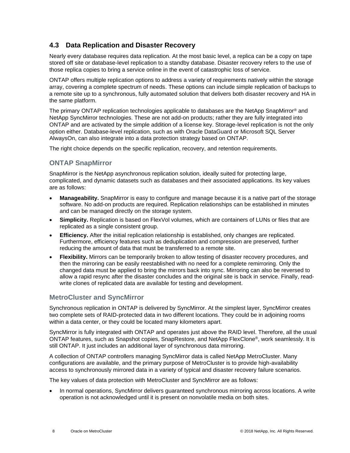## <span id="page-7-0"></span>**4.3 Data Replication and Disaster Recovery**

Nearly every database requires data replication. At the most basic level, a replica can be a copy on tape stored off site or database-level replication to a standby database. Disaster recovery refers to the use of those replica copies to bring a service online in the event of catastrophic loss of service.

ONTAP offers multiple replication options to address a variety of requirements natively within the storage array, covering a complete spectrum of needs. These options can include simple replication of backups to a remote site up to a synchronous, fully automated solution that delivers both disaster recovery and HA in the same platform.

The primary ONTAP replication technologies applicable to databases are the NetApp SnapMirror® and NetApp SyncMirror technologies. These are not add-on products; rather they are fully integrated into ONTAP and are activated by the simple addition of a license key. Storage-level replication is not the only option either. Database-level replication, such as with Oracle DataGuard or Microsoft SQL Server AlwaysOn, can also integrate into a data protection strategy based on ONTAP.

The right choice depends on the specific replication, recovery, and retention requirements.

## **ONTAP SnapMirror**

SnapMirror is the NetApp asynchronous replication solution, ideally suited for protecting large, complicated, and dynamic datasets such as databases and their associated applications. Its key values are as follows:

- **Manageability.** SnapMirror is easy to configure and manage because it is a native part of the storage software. No add-on products are required. Replication relationships can be established in minutes and can be managed directly on the storage system.
- **Simplicity.** Replication is based on FlexVol volumes, which are containers of LUNs or files that are replicated as a single consistent group.
- **Efficiency.** After the initial replication relationship is established, only changes are replicated. Furthermore, efficiency features such as deduplication and compression are preserved, further reducing the amount of data that must be transferred to a remote site.
- **Flexibility.** Mirrors can be temporarily broken to allow testing of disaster recovery procedures, and then the mirroring can be easily reestablished with no need for a complete remirroring. Only the changed data must be applied to bring the mirrors back into sync. Mirroring can also be reversed to allow a rapid resync after the disaster concludes and the original site is back in service. Finally, readwrite clones of replicated data are available for testing and development.

## **MetroCluster and SyncMirror**

Synchronous replication in ONTAP is delivered by SyncMirror. At the simplest layer, SyncMirror creates two complete sets of RAID-protected data in two different locations. They could be in adjoining rooms within a data center, or they could be located many kilometers apart.

SyncMirror is fully integrated with ONTAP and operates just above the RAID level. Therefore, all the usual ONTAP features, such as Snapshot copies, SnapRestore, and NetApp FlexClone®, work seamlessly. It is still ONTAP. It just includes an additional layer of synchronous data mirroring.

A collection of ONTAP controllers managing SyncMirror data is called NetApp MetroCluster. Many configurations are available, and the primary purpose of MetroCluster is to provide high-availability access to synchronously mirrored data in a variety of typical and disaster recovery failure scenarios.

The key values of data protection with MetroCluster and SyncMirror are as follows:

• In normal operations, SyncMirror delivers guaranteed synchronous mirroring across locations. A write operation is not acknowledged until it is present on nonvolatile media on both sites.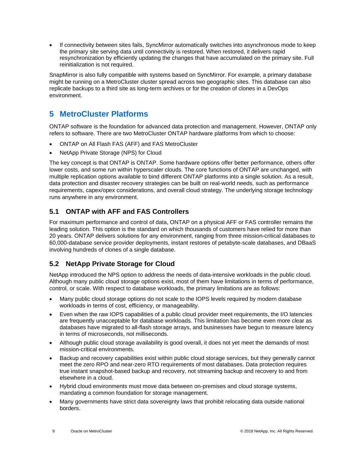• If connectivity between sites fails, SyncMirror automatically switches into asynchronous mode to keep the primary site serving data until connectivity is restored. When restored, it delivers rapid resynchronization by efficiently updating the changes that have accumulated on the primary site. Full reinitialization is not required.

SnapMirror is also fully compatible with systems based on SyncMirror. For example, a primary database might be running on a MetroCluster cluster spread across two geographic sites. This database can also replicate backups to a third site as long-term archives or for the creation of clones in a DevOps environment.

## <span id="page-8-0"></span>**5 MetroCluster Platforms**

ONTAP software is the foundation for advanced data protection and management. However, ONTAP only refers to software. There are two MetroCluster ONTAP hardware platforms from which to choose:

- ONTAP on All Flash FAS (AFF) and FAS MetroCluster
- NetApp Private Storage (NPS) for Cloud

The key concept is that ONTAP is ONTAP. Some hardware options offer better performance, others offer lower costs, and some run within hyperscaler clouds. The core functions of ONTAP are unchanged, with multiple replication options available to bind different ONTAP platforms into a single solution. As a result, data protection and disaster recovery strategies can be built on real-world needs, such as performance requirements, capex/opex considerations, and overall cloud strategy. The underlying storage technology runs anywhere in any environment.

## <span id="page-8-1"></span>**5.1 ONTAP with AFF and FAS Controllers**

For maximum performance and control of data, ONTAP on a physical AFF or FAS controller remains the leading solution. This option is the standard on which thousands of customers have relied for more than 20 years. ONTAP delivers solutions for any environment, ranging from three mission-critical databases to 60,000-database service provider deployments, instant restores of petabyte-scale databases, and DBaaS involving hundreds of clones of a single database.

## <span id="page-8-2"></span>**5.2 NetApp Private Storage for Cloud**

NetApp introduced the NPS option to address the needs of data-intensive workloads in the public cloud. Although many public cloud storage options exist, most of them have limitations in terms of performance, control, or scale. With respect to database workloads, the primary limitations are as follows:

- Many public cloud storage options do not scale to the IOPS levels required by modern database workloads in terms of cost, efficiency, or manageability.
- Even when the raw IOPS capabilities of a public cloud provider meet requirements, the I/O latencies are frequently unacceptable for database workloads. This limitation has become even more clear as databases have migrated to all-flash storage arrays, and businesses have begun to measure latency in terms of microseconds, not milliseconds.
- Although public cloud storage availability is good overall, it does not yet meet the demands of most mission-critical environments.
- Backup and recovery capabilities exist within public cloud storage services, but they generally cannot meet the zero RPO and near-zero RTO requirements of most databases. Data protection requires true instant snapshot-based backup and recovery, not streaming backup and recovery to and from elsewhere in a cloud.
- Hybrid cloud environments must move data between on-premises and cloud storage systems, mandating a common foundation for storage management.
- Many governments have strict data sovereignty laws that prohibit relocating data outside national borders.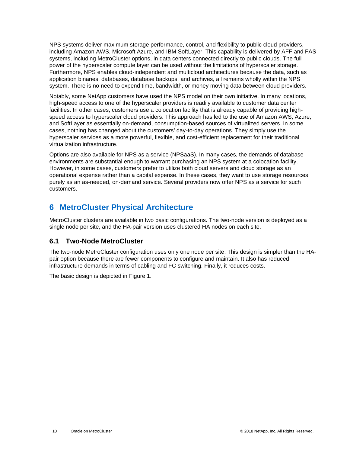NPS systems deliver maximum storage performance, control, and flexibility to public cloud providers, including Amazon AWS, Microsoft Azure, and IBM SoftLayer. This capability is delivered by AFF and FAS systems, including MetroCluster options, in data centers connected directly to public clouds. The full power of the hyperscaler compute layer can be used without the limitations of hyperscaler storage. Furthermore, NPS enables cloud-independent and multicloud architectures because the data, such as application binaries, databases, database backups, and archives, all remains wholly within the NPS system. There is no need to expend time, bandwidth, or money moving data between cloud providers.

Notably, some NetApp customers have used the NPS model on their own initiative. In many locations, high-speed access to one of the hyperscaler providers is readily available to customer data center facilities. In other cases, customers use a colocation facility that is already capable of providing highspeed access to hyperscaler cloud providers. This approach has led to the use of Amazon AWS, Azure, and SoftLayer as essentially on-demand, consumption-based sources of virtualized servers. In some cases, nothing has changed about the customers' day-to-day operations. They simply use the hyperscaler services as a more powerful, flexible, and cost-efficient replacement for their traditional virtualization infrastructure.

Options are also available for NPS as a service (NPSaaS). In many cases, the demands of database environments are substantial enough to warrant purchasing an NPS system at a colocation facility. However, in some cases, customers prefer to utilize both cloud servers and cloud storage as an operational expense rather than a capital expense. In these cases, they want to use storage resources purely as an as-needed, on-demand service. Several providers now offer NPS as a service for such customers.

## <span id="page-9-0"></span>**6 MetroCluster Physical Architecture**

MetroCluster clusters are available in two basic configurations. The two-node version is deployed as a single node per site, and the HA-pair version uses clustered HA nodes on each site.

## <span id="page-9-1"></span>**6.1 Two-Node MetroCluster**

The two-node MetroCluster configuration uses only one node per site. This design is simpler than the HApair option because there are fewer components to configure and maintain. It also has reduced infrastructure demands in terms of cabling and FC switching. Finally, it reduces costs.

The basic design is depicted in [Figure 1.](#page-10-1)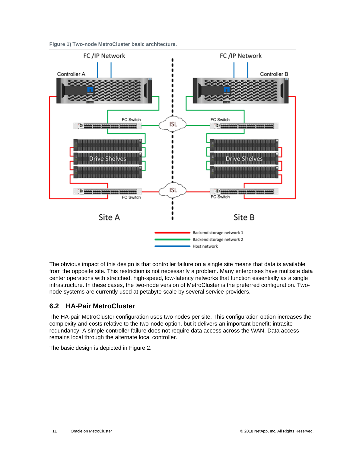<span id="page-10-1"></span>**Figure 1) Two-node MetroCluster basic architecture.**



The obvious impact of this design is that controller failure on a single site means that data is available from the opposite site. This restriction is not necessarily a problem. Many enterprises have multisite data center operations with stretched, high-speed, low-latency networks that function essentially as a single infrastructure. In these cases, the two-node version of MetroCluster is the preferred configuration. Twonode systems are currently used at petabyte scale by several service providers.

## <span id="page-10-0"></span>**6.2 HA-Pair MetroCluster**

The HA-pair MetroCluster configuration uses two nodes per site. This configuration option increases the complexity and costs relative to the two-node option, but it delivers an important benefit: intrasite redundancy. A simple controller failure does not require data access across the WAN. Data access remains local through the alternate local controller.

The basic design is depicted in [Figure 2.](#page-11-0)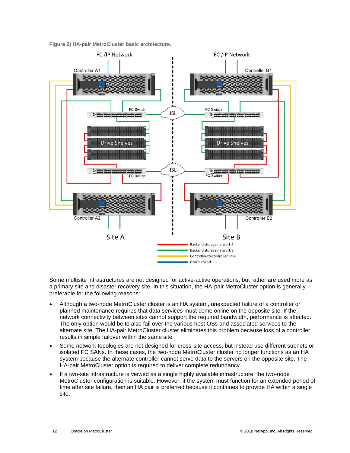<span id="page-11-0"></span>**Figure 2) HA-pair MetroCluster basic architecture.**



Some multisite infrastructures are not designed for active-active operations, but rather are used more as a primary site and disaster recovery site. In this situation, the HA-pair MetroCluster option is generally preferable for the following reasons:

- Although a two-node MetroCluster cluster is an HA system, unexpected failure of a controller or planned maintenance requires that data services must come online on the opposite site. If the network connectivity between sites cannot support the required bandwidth, performance is affected. The only option would be to also fail over the various host OSs and associated services to the alternate site. The HA-pair MetroCluster cluster eliminates this problem because loss of a controller results in simple failover within the same site.
- Some network topologies are not designed for cross-site access, but instead use different subnets or isolated FC SANs. In these cases, the two-node MetroCluster cluster no longer functions as an HA system because the alternate controller cannot serve data to the servers on the opposite site. The HA-pair MetroCluster option is required to deliver complete redundancy.
- If a two-site infrastructure is viewed as a single highly available infrastructure, the two-node MetroCluster configuration is suitable. However, if the system must function for an extended period of time after site failure, then an HA pair is preferred because it continues to provide HA within a single site.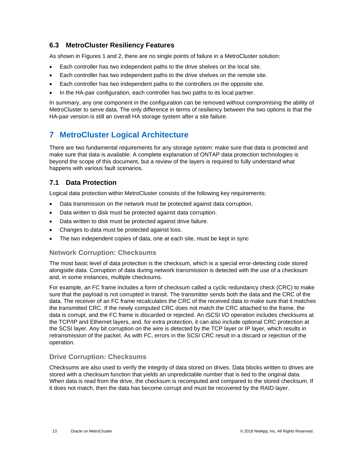## <span id="page-12-0"></span>**6.3 MetroCluster Resiliency Features**

As shown in Figures 1 and 2, there are no single points of failure in a MetroCluster solution:

- Each controller has two independent paths to the drive shelves on the local site.
- Each controller has two independent paths to the drive shelves on the remote site.
- Each controller has two independent paths to the controllers on the opposite site.
- In the HA-pair configuration, each controller has two paths to its local partner.

In summary, any one component in the configuration can be removed without compromising the ability of MetroCluster to serve data. The only difference in terms of resiliency between the two options is that the HA-pair version is still an overall HA storage system after a site failure.

## <span id="page-12-1"></span>**7 MetroCluster Logical Architecture**

There are two fundamental requirements for any storage system: make sure that data is protected and make sure that data is available. A complete explanation of ONTAP data protection technologies is beyond the scope of this document, but a review of the layers is required to fully understand what happens with various fault scenarios.

## <span id="page-12-2"></span>**7.1 Data Protection**

Logical data protection within MetroCluster consists of the following key requirements:

- Data transmission on the network must be protected against data corruption.
- Data written to disk must be protected against data corruption.
- Data written to disk must be protected against drive failure.
- Changes to data must be protected against loss.
- The two independent copies of data, one at each site, must be kept in sync

#### **Network Corruption: Checksums**

The most basic level of data protection is the checksum, which is a special error-detecting code stored alongside data. Corruption of data during network transmission is detected with the use of a checksum and, in some instances, multiple checksums.

For example, an FC frame includes a form of checksum called a cyclic redundancy check (CRC) to make sure that the payload is not corrupted in transit. The transmitter sends both the data and the CRC of the data. The receiver of an FC frame recalculates the CRC of the received data to make sure that it matches the transmitted CRC. If the newly computed CRC does not match the CRC attached to the frame, the data is corrupt, and the FC frame is discarded or rejected. An iSCSI I/O operation includes checksums at the TCP/IP and Ethernet layers, and, for extra protection, it can also include optional CRC protection at the SCSI layer. Any bit corruption on the wire is detected by the TCP layer or IP layer, which results in retransmission of the packet. As with FC, errors in the SCSI CRC result in a discard or rejection of the operation.

#### **Drive Corruption: Checksums**

Checksums are also used to verify the integrity of data stored on drives. Data blocks written to drives are stored with a checksum function that yields an unpredictable number that is tied to the original data. When data is read from the drive, the checksum is recomputed and compared to the stored checksum. If it does not match, then the data has become corrupt and must be recovered by the RAID layer.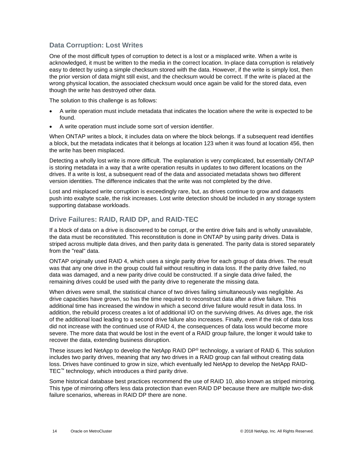### **Data Corruption: Lost Writes**

One of the most difficult types of corruption to detect is a lost or a misplaced write. When a write is acknowledged, it must be written to the media in the correct location. In-place data corruption is relatively easy to detect by using a simple checksum stored with the data. However, if the write is simply lost, then the prior version of data might still exist, and the checksum would be correct. If the write is placed at the wrong physical location, the associated checksum would once again be valid for the stored data, even though the write has destroyed other data.

The solution to this challenge is as follows:

- A write operation must include metadata that indicates the location where the write is expected to be found.
- A write operation must include some sort of version identifier.

When ONTAP writes a block, it includes data on where the block belongs. If a subsequent read identifies a block, but the metadata indicates that it belongs at location 123 when it was found at location 456, then the write has been misplaced.

Detecting a wholly lost write is more difficult. The explanation is very complicated, but essentially ONTAP is storing metadata in a way that a write operation results in updates to two different locations on the drives. If a write is lost, a subsequent read of the data and associated metadata shows two different version identities. The difference indicates that the write was not completed by the drive.

Lost and misplaced write corruption is exceedingly rare, but, as drives continue to grow and datasets push into exabyte scale, the risk increases. Lost write detection should be included in any storage system supporting database workloads.

## **Drive Failures: RAID, RAID DP, and RAID-TEC**

If a block of data on a drive is discovered to be corrupt, or the entire drive fails and is wholly unavailable, the data must be reconstituted. This reconstitution is done in ONTAP by using parity drives. Data is striped across multiple data drives, and then parity data is generated. The parity data is stored separately from the "real" data.

ONTAP originally used RAID 4, which uses a single parity drive for each group of data drives. The result was that any one drive in the group could fail without resulting in data loss. If the parity drive failed, no data was damaged, and a new parity drive could be constructed. If a single data drive failed, the remaining drives could be used with the parity drive to regenerate the missing data.

When drives were small, the statistical chance of two drives failing simultaneously was negligible. As drive capacities have grown, so has the time required to reconstruct data after a drive failure. This additional time has increased the window in which a second drive failure would result in data loss. In addition, the rebuild process creates a lot of additional I/O on the surviving drives. As drives age, the risk of the additional load leading to a second drive failure also increases. Finally, even if the risk of data loss did not increase with the continued use of RAID 4, the consequences of data loss would become more severe. The more data that would be lost in the event of a RAID group failure, the longer it would take to recover the data, extending business disruption.

These issues led NetApp to develop the NetApp RAID DP® technology, a variant of RAID 6. This solution includes two parity drives, meaning that any two drives in a RAID group can fail without creating data loss. Drives have continued to grow in size, which eventually led NetApp to develop the NetApp RAID-TEC™ technology, which introduces a third parity drive.

Some historical database best practices recommend the use of RAID 10, also known as striped mirroring. This type of mirroring offers less data protection than even RAID DP because there are multiple two-disk failure scenarios, whereas in RAID DP there are none.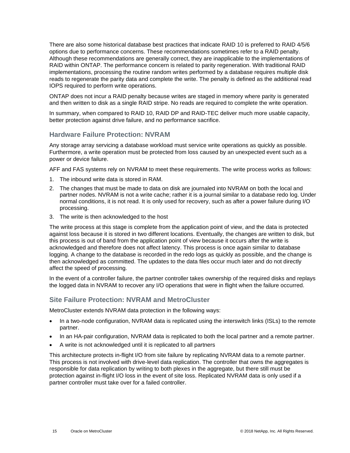There are also some historical database best practices that indicate RAID 10 is preferred to RAID 4/5/6 options due to performance concerns. These recommendations sometimes refer to a RAID penalty. Although these recommendations are generally correct, they are inapplicable to the implementations of RAID within ONTAP. The performance concern is related to parity regeneration. With traditional RAID implementations, processing the routine random writes performed by a database requires multiple disk reads to regenerate the parity data and complete the write. The penalty is defined as the additional read IOPS required to perform write operations.

ONTAP does not incur a RAID penalty because writes are staged in memory where parity is generated and then written to disk as a single RAID stripe. No reads are required to complete the write operation.

In summary, when compared to RAID 10, RAID DP and RAID-TEC deliver much more usable capacity, better protection against drive failure, and no performance sacrifice.

### **Hardware Failure Protection: NVRAM**

Any storage array servicing a database workload must service write operations as quickly as possible. Furthermore, a write operation must be protected from loss caused by an unexpected event such as a power or device failure.

AFF and FAS systems rely on NVRAM to meet these requirements. The write process works as follows:

- 1. The inbound write data is stored in RAM.
- 2. The changes that must be made to data on disk are journaled into NVRAM on both the local and partner nodes. NVRAM is not a write cache; rather it is a journal similar to a database redo log. Under normal conditions, it is not read. It is only used for recovery, such as after a power failure during I/O processing.
- 3. The write is then acknowledged to the host

The write process at this stage is complete from the application point of view, and the data is protected against loss because it is stored in two different locations. Eventually, the changes are written to disk, but this process is out of band from the application point of view because it occurs after the write is acknowledged and therefore does not affect latency. This process is once again similar to database logging. A change to the database is recorded in the redo logs as quickly as possible, and the change is then acknowledged as committed. The updates to the data files occur much later and do not directly affect the speed of processing.

In the event of a controller failure, the partner controller takes ownership of the required disks and replays the logged data in NVRAM to recover any I/O operations that were in flight when the failure occurred.

## **Site Failure Protection: NVRAM and MetroCluster**

MetroCluster extends NVRAM data protection in the following ways:

- In a two-node configuration, NVRAM data is replicated using the interswitch links (ISLs) to the remote partner.
- In an HA-pair configuration, NVRAM data is replicated to both the local partner and a remote partner.
- A write is not acknowledged until it is replicated to all partners

This architecture protects in-flight I/O from site failure by replicating NVRAM data to a remote partner. This process is not involved with drive-level data replication. The controller that owns the aggregates is responsible for data replication by writing to both plexes in the aggregate, but there still must be protection against in-flight I/O loss in the event of site loss. Replicated NVRAM data is only used if a partner controller must take over for a failed controller.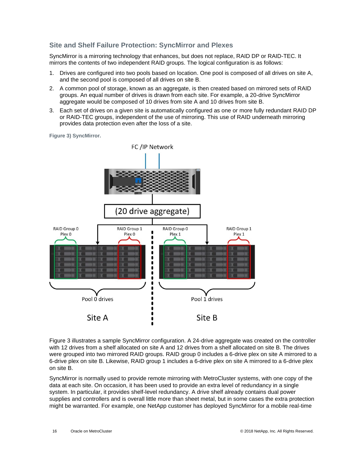### **Site and Shelf Failure Protection: SyncMirror and Plexes**

SyncMirror is a mirroring technology that enhances, but does not replace, RAID DP or RAID-TEC. It mirrors the contents of two independent RAID groups. The logical configuration is as follows:

- 1. Drives are configured into two pools based on location. One pool is composed of all drives on site A, and the second pool is composed of all drives on site B.
- 2. A common pool of storage, known as an aggregate, is then created based on mirrored sets of RAID groups. An equal number of drives is drawn from each site. For example, a 20-drive SyncMirror aggregate would be composed of 10 drives from site A and 10 drives from site B.
- 3. Each set of drives on a given site is automatically configured as one or more fully redundant RAID DP or RAID-TEC groups, independent of the use of mirroring. This use of RAID underneath mirroring provides data protection even after the loss of a site.

<span id="page-15-0"></span>**Figure 3) SyncMirror.**



[Figure 3](#page-15-0) illustrates a sample SyncMirror configuration. A 24-drive aggregate was created on the controller with 12 drives from a shelf allocated on site A and 12 drives from a shelf allocated on site B. The drives were grouped into two mirrored RAID groups. RAID group 0 includes a 6-drive plex on site A mirrored to a 6-drive plex on site B. Likewise, RAID group 1 includes a 6-drive plex on site A mirrored to a 6-drive plex on site B.

SyncMirror is normally used to provide remote mirroring with MetroCluster systems, with one copy of the data at each site. On occasion, it has been used to provide an extra level of redundancy in a single system. In particular, it provides shelf-level redundancy. A drive shelf already contains dual power supplies and controllers and is overall little more than sheet metal, but in some cases the extra protection might be warranted. For example, one NetApp customer has deployed SyncMirror for a mobile real-time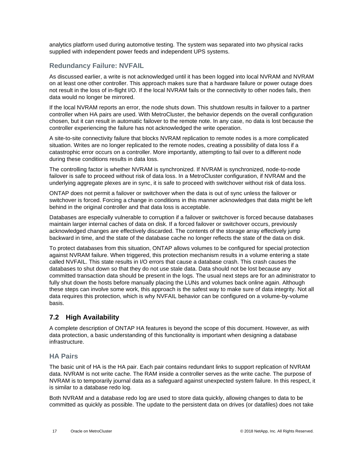analytics platform used during automotive testing. The system was separated into two physical racks supplied with independent power feeds and independent UPS systems.

### **Redundancy Failure: NVFAIL**

As discussed earlier, a write is not acknowledged until it has been logged into local NVRAM and NVRAM on at least one other controller. This approach makes sure that a hardware failure or power outage does not result in the loss of in-flight I/O. If the local NVRAM fails or the connectivity to other nodes fails, then data would no longer be mirrored.

If the local NVRAM reports an error, the node shuts down. This shutdown results in failover to a partner controller when HA pairs are used. With MetroCluster, the behavior depends on the overall configuration chosen, but it can result in automatic failover to the remote note. In any case, no data is lost because the controller experiencing the failure has not acknowledged the write operation.

A site-to-site connectivity failure that blocks NVRAM replication to remote nodes is a more complicated situation. Writes are no longer replicated to the remote nodes, creating a possibility of data loss if a catastrophic error occurs on a controller. More importantly, attempting to fail over to a different node during these conditions results in data loss.

The controlling factor is whether NVRAM is synchronized. If NVRAM is synchronized, node-to-node failover is safe to proceed without risk of data loss. In a MetroCluster configuration, if NVRAM and the underlying aggregate plexes are in sync, it is safe to proceed with switchover without risk of data loss.

ONTAP does not permit a failover or switchover when the data is out of sync unless the failover or switchover is forced. Forcing a change in conditions in this manner acknowledges that data might be left behind in the original controller and that data loss is acceptable.

Databases are especially vulnerable to corruption if a failover or switchover is forced because databases maintain larger internal caches of data on disk. If a forced failover or switchover occurs, previously acknowledged changes are effectively discarded. The contents of the storage array effectively jump backward in time, and the state of the database cache no longer reflects the state of the data on disk.

To protect databases from this situation, ONTAP allows volumes to be configured for special protection against NVRAM failure. When triggered, this protection mechanism results in a volume entering a state called NVFAIL. This state results in I/O errors that cause a database crash. This crash causes the databases to shut down so that they do not use stale data. Data should not be lost because any committed transaction data should be present in the logs. The usual next steps are for an administrator to fully shut down the hosts before manually placing the LUNs and volumes back online again. Although these steps can involve some work, this approach is the safest way to make sure of data integrity. Not all data requires this protection, which is why NVFAIL behavior can be configured on a volume-by-volume basis.

## <span id="page-16-0"></span>**7.2 High Availability**

A complete description of ONTAP HA features is beyond the scope of this document. However, as with data protection, a basic understanding of this functionality is important when designing a database infrastructure.

#### **HA Pairs**

The basic unit of HA is the HA pair. Each pair contains redundant links to support replication of NVRAM data. NVRAM is not write cache. The RAM inside a controller serves as the write cache. The purpose of NVRAM is to temporarily journal data as a safeguard against unexpected system failure. In this respect, it is similar to a database redo log.

Both NVRAM and a database redo log are used to store data quickly, allowing changes to data to be committed as quickly as possible. The update to the persistent data on drives (or datafiles) does not take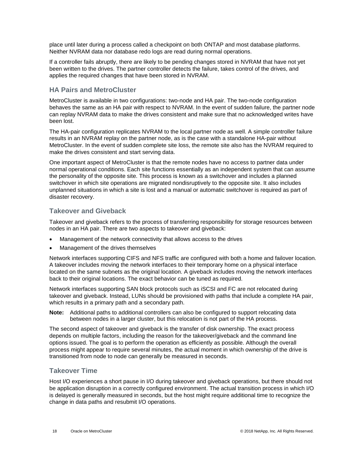place until later during a process called a checkpoint on both ONTAP and most database platforms. Neither NVRAM data nor database redo logs are read during normal operations.

If a controller fails abruptly, there are likely to be pending changes stored in NVRAM that have not yet been written to the drives. The partner controller detects the failure, takes control of the drives, and applies the required changes that have been stored in NVRAM.

### **HA Pairs and MetroCluster**

MetroCluster is available in two configurations: two-node and HA pair. The two-node configuration behaves the same as an HA pair with respect to NVRAM. In the event of sudden failure, the partner node can replay NVRAM data to make the drives consistent and make sure that no acknowledged writes have been lost.

The HA-pair configuration replicates NVRAM to the local partner node as well. A simple controller failure results in an NVRAM replay on the partner node, as is the case with a standalone HA-pair without MetroCluster. In the event of sudden complete site loss, the remote site also has the NVRAM required to make the drives consistent and start serving data.

One important aspect of MetroCluster is that the remote nodes have no access to partner data under normal operational conditions. Each site functions essentially as an independent system that can assume the personality of the opposite site. This process is known as a switchover and includes a planned switchover in which site operations are migrated nondisruptively to the opposite site. It also includes unplanned situations in which a site is lost and a manual or automatic switchover is required as part of disaster recovery.

#### **Takeover and Giveback**

Takeover and giveback refers to the process of transferring responsibility for storage resources between nodes in an HA pair. There are two aspects to takeover and giveback:

- Management of the network connectivity that allows access to the drives
- Management of the drives themselves

Network interfaces supporting CIFS and NFS traffic are configured with both a home and failover location. A takeover includes moving the network interfaces to their temporary home on a physical interface located on the same subnets as the original location. A giveback includes moving the network interfaces back to their original locations. The exact behavior can be tuned as required.

Network interfaces supporting SAN block protocols such as iSCSI and FC are not relocated during takeover and giveback. Instead, LUNs should be provisioned with paths that include a complete HA pair, which results in a primary path and a secondary path.

**Note:** Additional paths to additional controllers can also be configured to support relocating data between nodes in a larger cluster, but this relocation is not part of the HA process.

The second aspect of takeover and giveback is the transfer of disk ownership. The exact process depends on multiple factors, including the reason for the takeover/giveback and the command line options issued. The goal is to perform the operation as efficiently as possible. Although the overall process might appear to require several minutes, the actual moment in which ownership of the drive is transitioned from node to node can generally be measured in seconds.

#### **Takeover Time**

Host I/O experiences a short pause in I/O during takeover and giveback operations, but there should not be application disruption in a correctly configured environment. The actual transition process in which I/O is delayed is generally measured in seconds, but the host might require additional time to recognize the change in data paths and resubmit I/O operations.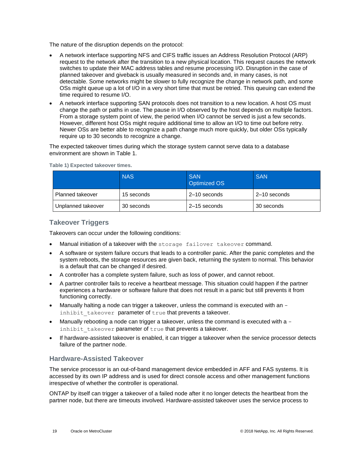The nature of the disruption depends on the protocol:

- A network interface supporting NFS and CIFS traffic issues an Address Resolution Protocol (ARP) request to the network after the transition to a new physical location. This request causes the network switches to update their MAC address tables and resume processing I/O. Disruption in the case of planned takeover and giveback is usually measured in seconds and, in many cases, is not detectable. Some networks might be slower to fully recognize the change in network path, and some OSs might queue up a lot of I/O in a very short time that must be retried. This queuing can extend the time required to resume I/O.
- A network interface supporting SAN protocols does not transition to a new location. A host OS must change the path or paths in use. The pause in I/O observed by the host depends on multiple factors. From a storage system point of view, the period when I/O cannot be served is just a few seconds. However, different host OSs might require additional time to allow an I/O to time out before retry. Newer OSs are better able to recognize a path change much more quickly, but older OSs typically require up to 30 seconds to recognize a change.

The expected takeover times during which the storage system cannot serve data to a database environment are shown in [Table 1.](#page-18-0)

|                         | <b>NAS</b> | <b>SAN</b><br>Optimized OS | <b>SAN</b>   |
|-------------------------|------------|----------------------------|--------------|
| <b>Planned takeover</b> | 15 seconds | 2-10 seconds               | 2-10 seconds |
| Unplanned takeover      | 30 seconds | 2–15 seconds               | 30 seconds   |

<span id="page-18-0"></span>**Table 1) Expected takeover times.**

### **Takeover Triggers**

Takeovers can occur under the following conditions:

- Manual initiation of a takeover with the storage failover takeover command.
- A software or system failure occurs that leads to a controller panic. After the panic completes and the system reboots, the storage resources are given back, returning the system to normal. This behavior is a default that can be changed if desired.
- A controller has a complete system failure, such as loss of power, and cannot reboot.
- A partner controller fails to receive a heartbeat message. This situation could happen if the partner experiences a hardware or software failure that does not result in a panic but still prevents it from functioning correctly.
- Manually halting a node can trigger a takeover, unless the command is executed with an inhibit takeover parameter of true that prevents a takeover.
- Manually rebooting a node can trigger a takeover, unless the command is executed with a  $$ inhibit takeover parameter of true that prevents a takeover.
- If hardware-assisted takeover is enabled, it can trigger a takeover when the service processor detects failure of the partner node.

#### **Hardware-Assisted Takeover**

The service processor is an out-of-band management device embedded in AFF and FAS systems. It is accessed by its own IP address and is used for direct console access and other management functions irrespective of whether the controller is operational.

ONTAP by itself can trigger a takeover of a failed node after it no longer detects the heartbeat from the partner node, but there are timeouts involved. Hardware-assisted takeover uses the service process to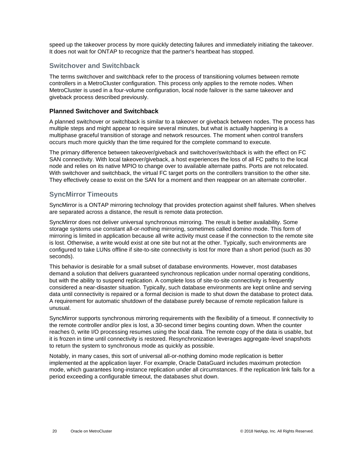speed up the takeover process by more quickly detecting failures and immediately initiating the takeover. It does not wait for ONTAP to recognize that the partner's heartbeat has stopped.

#### **Switchover and Switchback**

The terms switchover and switchback refer to the process of transitioning volumes between remote controllers in a MetroCluster configuration. This process only applies to the remote nodes. When MetroCluster is used in a four-volume configuration, local node failover is the same takeover and giveback process described previously.

#### **Planned Switchover and Switchback**

A planned switchover or switchback is similar to a takeover or giveback between nodes. The process has multiple steps and might appear to require several minutes, but what is actually happening is a multiphase graceful transition of storage and network resources. The moment when control transfers occurs much more quickly than the time required for the complete command to execute.

The primary difference between takeover/giveback and switchover/switchback is with the effect on FC SAN connectivity. With local takeover/giveback, a host experiences the loss of all FC paths to the local node and relies on its native MPIO to change over to available alternate paths. Ports are not relocated. With switchover and switchback, the virtual FC target ports on the controllers transition to the other site. They effectively cease to exist on the SAN for a moment and then reappear on an alternate controller.

#### **SyncMirror Timeouts**

SyncMirror is a ONTAP mirroring technology that provides protection against shelf failures. When shelves are separated across a distance, the result is remote data protection.

SyncMirror does not deliver universal synchronous mirroring. The result is better availability. Some storage systems use constant all-or-nothing mirroring, sometimes called domino mode. This form of mirroring is limited in application because all write activity must cease if the connection to the remote site is lost. Otherwise, a write would exist at one site but not at the other. Typically, such environments are configured to take LUNs offline if site-to-site connectivity is lost for more than a short period (such as 30 seconds).

This behavior is desirable for a small subset of database environments. However, most databases demand a solution that delivers guaranteed synchronous replication under normal operating conditions, but with the ability to suspend replication. A complete loss of site-to-site connectivity is frequently considered a near-disaster situation. Typically, such database environments are kept online and serving data until connectivity is repaired or a formal decision is made to shut down the database to protect data. A requirement for automatic shutdown of the database purely because of remote replication failure is unusual.

SyncMirror supports synchronous mirroring requirements with the flexibility of a timeout. If connectivity to the remote controller and/or plex is lost, a 30-second timer begins counting down. When the counter reaches 0, write I/O processing resumes using the local data. The remote copy of the data is usable, but it is frozen in time until connectivity is restored. Resynchronization leverages aggregate-level snapshots to return the system to synchronous mode as quickly as possible.

Notably, in many cases, this sort of universal all-or-nothing domino mode replication is better implemented at the application layer. For example, Oracle DataGuard includes maximum protection mode, which guarantees long-instance replication under all circumstances. If the replication link fails for a period exceeding a configurable timeout, the databases shut down.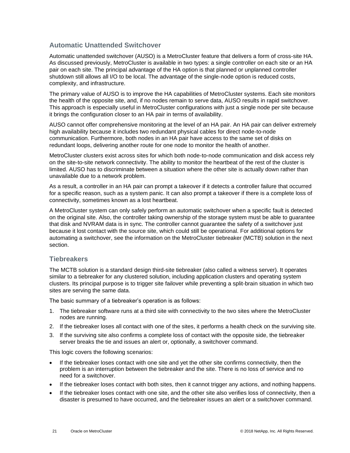### **Automatic Unattended Switchover**

Automatic unattended switchover (AUSO) is a MetroCluster feature that delivers a form of cross-site HA. As discussed previously, MetroCluster is available in two types: a single controller on each site or an HA pair on each site. The principal advantage of the HA option is that planned or unplanned controller shutdown still allows all I/O to be local. The advantage of the single-node option is reduced costs, complexity, and infrastructure.

The primary value of AUSO is to improve the HA capabilities of MetroCluster systems. Each site monitors the health of the opposite site, and, if no nodes remain to serve data, AUSO results in rapid switchover. This approach is especially useful in MetroCluster configurations with just a single node per site because it brings the configuration closer to an HA pair in terms of availability.

AUSO cannot offer comprehensive monitoring at the level of an HA pair. An HA pair can deliver extremely high availability because it includes two redundant physical cables for direct node-to-node communication. Furthermore, both nodes in an HA pair have access to the same set of disks on redundant loops, delivering another route for one node to monitor the health of another.

MetroCluster clusters exist across sites for which both node-to-node communication and disk access rely on the site-to-site network connectivity. The ability to monitor the heartbeat of the rest of the cluster is limited. AUSO has to discriminate between a situation where the other site is actually down rather than unavailable due to a network problem.

As a result, a controller in an HA pair can prompt a takeover if it detects a controller failure that occurred for a specific reason, such as a system panic. It can also prompt a takeover if there is a complete loss of connectivity, sometimes known as a lost heartbeat.

A MetroCluster system can only safely perform an automatic switchover when a specific fault is detected on the original site. Also, the controller taking ownership of the storage system must be able to guarantee that disk and NVRAM data is in sync. The controller cannot guarantee the safety of a switchover just because it lost contact with the source site, which could still be operational. For additional options for automating a switchover, see the information on the MetroCluster tiebreaker (MCTB) solution in the next section.

#### **Tiebreakers**

The MCTB solution is a standard design third-site tiebreaker (also called a witness server). It operates similar to a tiebreaker for any clustered solution, including application clusters and operating system clusters. Its principal purpose is to trigger site failover while preventing a split-brain situation in which two sites are serving the same data.

The basic summary of a tiebreaker's operation is as follows:

- 1. The tiebreaker software runs at a third site with connectivity to the two sites where the MetroCluster nodes are running.
- 2. If the tiebreaker loses all contact with one of the sites, it performs a health check on the surviving site.
- 3. If the surviving site also confirms a complete loss of contact with the opposite side, the tiebreaker server breaks the tie and issues an alert or, optionally, a switchover command.

This logic covers the following scenarios:

- If the tiebreaker loses contact with one site and yet the other site confirms connectivity, then the problem is an interruption between the tiebreaker and the site. There is no loss of service and no need for a switchover.
- If the tiebreaker loses contact with both sites, then it cannot trigger any actions, and nothing happens.
- If the tiebreaker loses contact with one site, and the other site also verifies loss of connectivity, then a disaster is presumed to have occurred, and the tiebreaker issues an alert or a switchover command.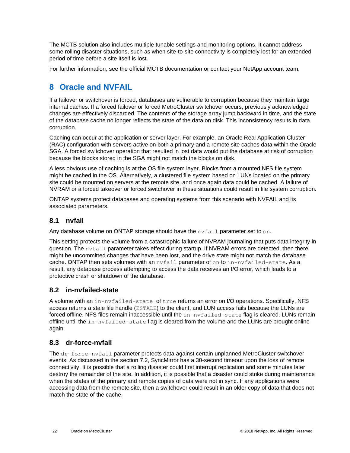The MCTB solution also includes multiple tunable settings and monitoring options. It cannot address some rolling disaster situations, such as when site-to-site connectivity is completely lost for an extended period of time before a site itself is lost.

For further information, see the official MCTB documentation or contact your NetApp account team.

## <span id="page-21-0"></span>**8 Oracle and NVFAIL**

If a failover or switchover is forced, databases are vulnerable to corruption because they maintain large internal caches. If a forced failover or forced MetroCluster switchover occurs, previously acknowledged changes are effectively discarded. The contents of the storage array jump backward in time, and the state of the database cache no longer reflects the state of the data on disk. This inconsistency results in data corruption.

Caching can occur at the application or server layer. For example, an Oracle Real Application Cluster (RAC) configuration with servers active on both a primary and a remote site caches data within the Oracle SGA. A forced switchover operation that resulted in lost data would put the database at risk of corruption because the blocks stored in the SGA might not match the blocks on disk.

A less obvious use of caching is at the OS file system layer. Blocks from a mounted NFS file system might be cached in the OS. Alternatively, a clustered file system based on LUNs located on the primary site could be mounted on servers at the remote site, and once again data could be cached. A failure of NVRAM or a forced takeover or forced switchover in these situations could result in file system corruption.

ONTAP systems protect databases and operating systems from this scenario with NVFAIL and its associated parameters.

## <span id="page-21-1"></span>**8.1 nvfail**

Any database volume on ONTAP storage should have the  $n \nu \text{fail}$  parameter set to on.

This setting protects the volume from a catastrophic failure of NVRAM journaling that puts data integrity in question. The nvfail parameter takes effect during startup. If NVRAM errors are detected, then there might be uncommitted changes that have been lost, and the drive state might not match the database cache. ONTAP then sets volumes with an nvfail parameter of on to in-nvfailed-state. As a result, any database process attempting to access the data receives an I/O error, which leads to a protective crash or shutdown of the database.

## <span id="page-21-2"></span>**8.2 in-nvfailed-state**

A volume with an in-nvfailed-state of true returns an error on I/O operations. Specifically, NFS access returns a stale file handle (ESTALE) to the client, and LUN access fails because the LUNs are forced offline. NFS files remain inaccessible until the in-nvfailed-state flag is cleared. LUNs remain offline until the  $\text{in-nvfailure}$  -state flag is cleared from the volume and the LUNs are brought online again.

## <span id="page-21-3"></span>**8.3 dr-force-nvfail**

The dr-force-nvfail parameter protects data against certain unplanned MetroCluster switchover events. As discussed in the section [7.2,](#page-16-0) SyncMirror has a 30-second timeout upon the loss of remote connectivity. It is possible that a rolling disaster could first interrupt replication and some minutes later destroy the remainder of the site. In addition, it is possible that a disaster could strike during maintenance when the states of the primary and remote copies of data were not in sync. If any applications were accessing data from the remote site, then a switchover could result in an older copy of data that does not match the state of the cache.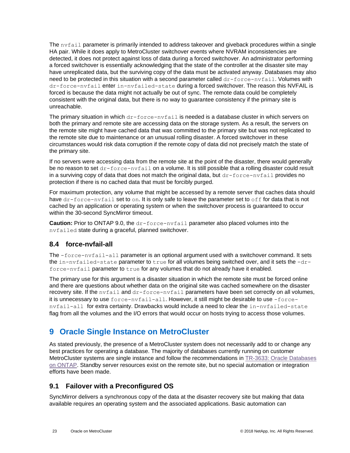The nvfail parameter is primarily intended to address takeover and giveback procedures within a single HA pair. While it does apply to MetroCluster switchover events where NVRAM inconsistencies are detected, it does not protect against loss of data during a forced switchover. An administrator performing a forced switchover is essentially acknowledging that the state of the controller at the disaster site may have unreplicated data, but the surviving copy of the data must be activated anyway. Databases may also need to be protected in this situation with a second parameter called  $dr$ -force-nvfail. Volumes with dr-force-nvfail enter in-nvfailed-state during a forced switchover. The reason this NVFAIL is forced is because the data might not actually be out of sync. The remote data could be completely consistent with the original data, but there is no way to guarantee consistency if the primary site is unreachable.

The primary situation in which  $dr$ -force-nvfail is needed is a database cluster in which servers on both the primary and remote site are accessing data on the storage system. As a result, the servers on the remote site might have cached data that was committed to the primary site but was not replicated to the remote site due to maintenance or an unusual rolling disaster. A forced switchover in these circumstances would risk data corruption if the remote copy of data did not precisely match the state of the primary site.

If no servers were accessing data from the remote site at the point of the disaster, there would generally be no reason to set dr-force-nvfail on a volume. It is still possible that a rolling disaster could result in a surviving copy of data that does not match the original data, but  $dr$ -force-nvfail provides no protection if there is no cached data that must be forcibly purged.

For maximum protection, any volume that might be accessed by a remote server that caches data should have  $dr$ -force-nvfail set to on. It is only safe to leave the parameter set to off for data that is not cached by an application or operating system or when the switchover process is guaranteed to occur within the 30-second SyncMirror timeout.

**Caution:** Prior to ONTAP 9.0, the dr-force-nvfail parameter also placed volumes into the nvfailed state during a graceful, planned switchover.

## <span id="page-22-0"></span>**8.4 force-nvfail-all**

The  $-free-nvfail-all$  parameter is an optional argument used with a switchover command. It sets the in-nvfailed-state parameter to true for all volumes being switched over, and it sets the -drforce-nvfail parameter to true for any volumes that do not already have it enabled.

The primary use for this argument is a disaster situation in which the remote site must be forced online and there are questions about whether data on the original site was cached somewhere on the disaster recovery site. If the nvfail and dr-force-nvfail parameters have been set correctly on all volumes, it is unnecessary to use force-nvfail-all. However, it still might be desirable to use -forcenvfail-all for extra certainty. Drawbacks would include a need to clear the in-nvfailed-state flag from all the volumes and the I/O errors that would occur on hosts trying to access those volumes.

## <span id="page-22-1"></span>**9 Oracle Single Instance on MetroCluster**

As stated previously, the presence of a MetroCluster system does not necessarily add to or change any best practices for operating a database. The majority of databases currently running on customer MetroCluster systems are single instance and follow the recommendations in [TR-3633: Oracle Databases](http://www.netapp.com/us/media/tr-3633.pdf)  [on ONTAP.](http://www.netapp.com/us/media/tr-3633.pdf) Standby server resources exist on the remote site, but no special automation or integration efforts have been made.

## <span id="page-22-2"></span>**9.1 Failover with a Preconfigured OS**

SyncMirror delivers a synchronous copy of the data at the disaster recovery site but making that data available requires an operating system and the associated applications. Basic automation can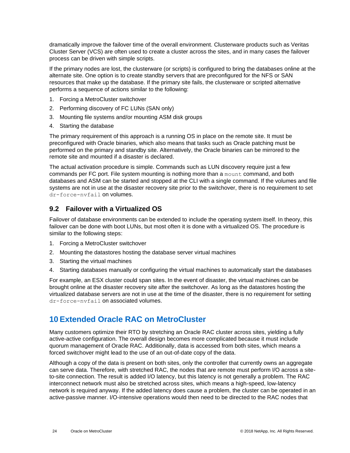dramatically improve the failover time of the overall environment. Clusterware products such as Veritas Cluster Server (VCS) are often used to create a cluster across the sites, and in many cases the failover process can be driven with simple scripts.

If the primary nodes are lost, the clusterware (or scripts) is configured to bring the databases online at the alternate site. One option is to create standby servers that are preconfigured for the NFS or SAN resources that make up the database. If the primary site fails, the clusterware or scripted alternative performs a sequence of actions similar to the following:

- 1. Forcing a MetroCluster switchover
- 2. Performing discovery of FC LUNs (SAN only)
- 3. Mounting file systems and/or mounting ASM disk groups
- 4. Starting the database

The primary requirement of this approach is a running OS in place on the remote site. It must be preconfigured with Oracle binaries, which also means that tasks such as Oracle patching must be performed on the primary and standby site. Alternatively, the Oracle binaries can be mirrored to the remote site and mounted if a disaster is declared.

The actual activation procedure is simple. Commands such as LUN discovery require just a few commands per FC port. File system mounting is nothing more than a mount command, and both databases and ASM can be started and stopped at the CLI with a single command. If the volumes and file systems are not in use at the disaster recovery site prior to the switchover, there is no requirement to set dr-force-nvfail on volumes.

## <span id="page-23-0"></span>**9.2 Failover with a Virtualized OS**

Failover of database environments can be extended to include the operating system itself. In theory, this failover can be done with boot LUNs, but most often it is done with a virtualized OS. The procedure is similar to the following steps:

- 1. Forcing a MetroCluster switchover
- 2. Mounting the datastores hosting the database server virtual machines
- 3. Starting the virtual machines
- 4. Starting databases manually or configuring the virtual machines to automatically start the databases

For example, an ESX cluster could span sites. In the event of disaster, the virtual machines can be brought online at the disaster recovery site after the switchover. As long as the datastores hosting the virtualized database servers are not in use at the time of the disaster, there is no requirement for setting dr-force-nvfail on associated volumes.

## <span id="page-23-1"></span>**10 Extended Oracle RAC on MetroCluster**

Many customers optimize their RTO by stretching an Oracle RAC cluster across sites, yielding a fully active-active configuration. The overall design becomes more complicated because it must include quorum management of Oracle RAC. Additionally, data is accessed from both sites, which means a forced switchover might lead to the use of an out-of-date copy of the data.

Although a copy of the data is present on both sites, only the controller that currently owns an aggregate can serve data. Therefore, with stretched RAC, the nodes that are remote must perform I/O across a siteto-site connection. The result is added I/O latency, but this latency is not generally a problem. The RAC interconnect network must also be stretched across sites, which means a high-speed, low-latency network is required anyway. If the added latency does cause a problem, the cluster can be operated in an active-passive manner. I/O-intensive operations would then need to be directed to the RAC nodes that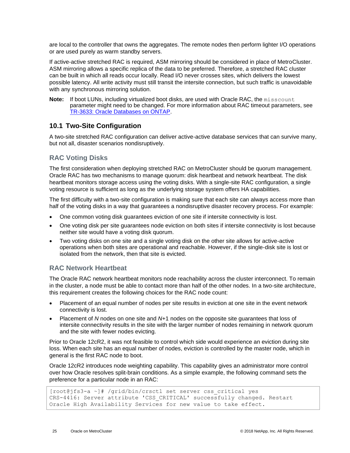are local to the controller that owns the aggregates. The remote nodes then perform lighter I/O operations or are used purely as warm standby servers.

If active-active stretched RAC is required, ASM mirroring should be considered in place of MetroCluster. ASM mirroring allows a specific replica of the data to be preferred. Therefore, a stretched RAC cluster can be built in which all reads occur locally. Read I/O never crosses sites, which delivers the lowest possible latency. All write activity must still transit the intersite connection, but such traffic is unavoidable with any synchronous mirroring solution.

**Note:** If boot LUNs, including virtualized boot disks, are used with Oracle RAC, the misscount parameter might need to be changed. For more information about RAC timeout parameters, see [TR-3633: Oracle Databases on ONTAP.](http://www.netapp.com/us/media/tr-3633.pdf)

### <span id="page-24-0"></span>**10.1 Two-Site Configuration**

A two-site stretched RAC configuration can deliver active-active database services that can survive many, but not all, disaster scenarios nondisruptively.

### **RAC Voting Disks**

The first consideration when deploying stretched RAC on MetroCluster should be quorum management. Oracle RAC has two mechanisms to manage quorum: disk heartbeat and network heartbeat. The disk heartbeat monitors storage access using the voting disks. With a single-site RAC configuration, a single voting resource is sufficient as long as the underlying storage system offers HA capabilities.

The first difficulty with a two-site configuration is making sure that each site can always access more than half of the voting disks in a way that guarantees a nondisruptive disaster recovery process. For example:

- One common voting disk guarantees eviction of one site if intersite connectivity is lost.
- One voting disk per site guarantees node eviction on both sites if intersite connectivity is lost because neither site would have a voting disk quorum.
- Two voting disks on one site and a single voting disk on the other site allows for active-active operations when both sites are operational and reachable. However, if the single-disk site is lost or isolated from the network, then that site is evicted.

#### **RAC Network Heartbeat**

The Oracle RAC network heartbeat monitors node reachability across the cluster interconnect. To remain in the cluster, a node must be able to contact more than half of the other nodes. In a two-site architecture, this requirement creates the following choices for the RAC node count:

- Placement of an equal number of nodes per site results in eviction at one site in the event network connectivity is lost.
- Placement of *N* nodes on one site and *N*+1 nodes on the opposite site guarantees that loss of intersite connectivity results in the site with the larger number of nodes remaining in network quorum and the site with fewer nodes evicting.

Prior to Oracle 12cR2, it was not feasible to control which side would experience an eviction during site loss. When each site has an equal number of nodes, eviction is controlled by the master node, which in general is the first RAC node to boot.

Oracle 12cR2 introduces node weighting capability. This capability gives an administrator more control over how Oracle resolves split-brain conditions. As a simple example, the following command sets the preference for a particular node in an RAC:

```
[root@jfs3-a ~]# /grid/bin/crsctl set server css_critical yes
CRS-4416: Server attribute 'CSS_CRITICAL' successfully changed. Restart 
Oracle High Availability Services for new value to take effect.
```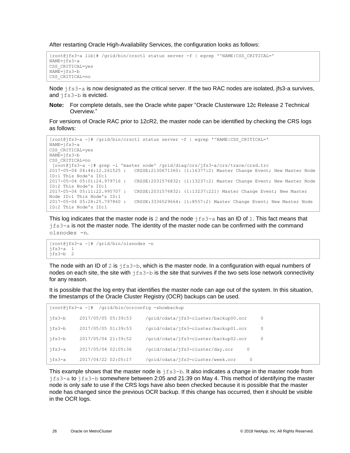After restarting Oracle High-Availability Services, the configuration looks as follows:

```
[root@jfs3-a lib]# /grid/bin/crsctl status server -f | egrep '^NAME|CSS_CRITICAL='
NAME=jfs3-a
CSS_CRITICAL=yes
NAME = ifs3-hCSS_CRITICAL=no
```
Node  $jfs3-a$  is now designated as the critical server. If the two RAC nodes are isolated, jfs3-a survives, and jfs3-b is evicted.

**Note:** For complete details, see the Oracle white paper "Oracle Clusterware 12c Release 2 Technical Overview."

For versions of Oracle RAC prior to 12cR2, the master node can be identified by checking the CRS logs as follows:

```
[root@jfs3-a ~]# /grid/bin/crsctl status server -f | egrep '^NAME|CSS_CRITICAL='
NAME=jfs3-a
CSS_CRITICAL=yes
NAME=jfs3-b
CSS_CRITICAL=no
 [root@jfs3-a ~]# grep -i 'master node' /grid/diag/crs/jfs3-a/crs/trace/crsd.trc
2017-05-04 04:46:12.261525 : CRSSE:2130671360: {1:16377:2} Master Change Event; New Master Node 
ID:1 This Node's ID:1
2017-05-04 05:01:24.979716 : CRSSE:2031576832: {1:13237:2} Master Change Event; New Master Node 
ID:2 This Node's ID:1
2017-05-04 05:11:22.995707 : CRSSE:2031576832: {1:13237:221} Master Change Event; New Master 
Node ID:1 This Node's ID:1
2017-05-04 05:28:25.797860 : CRSSE:3336529664: {1:8557:2} Master Change Event; New Master Node 
ID:2 This Node's ID:1
```
This log indicates that the master node is 2 and the node  $jfs3-a$  has an ID of 1. This fact means that jfs3-a is not the master node. The identity of the master node can be confirmed with the command olsnodes -n.

```
[root@jfs3-a ~]# /grid/bin/olsnodes -n
jfs3-a 1<br>jfs3-b 2
ifs3-b
```
The node with an ID of 2 is  $jfs3-b$ , which is the master node. In a configuration with equal numbers of nodes on each site, the site with  $jfs3-b$  is the site that survives if the two sets lose network connectivity for any reason.

It is possible that the log entry that identifies the master node can age out of the system. In this situation, the timestamps of the Oracle Cluster Registry (OCR) backups can be used.

| [root@jfs3-a ~]# /grid/bin/ocrconfig -showbackup |                     |                                        |         |  |  |  |  |
|--------------------------------------------------|---------------------|----------------------------------------|---------|--|--|--|--|
| jfs3-b                                           | 2017/05/05 05:39:53 | /grid/cdata/jfs3-cluster/backup00.ocr  | $\circ$ |  |  |  |  |
| ifs3-b                                           | 2017/05/05 01:39:53 | /qrid/cdata/ifs3-cluster/backup01.ocr  | $\circ$ |  |  |  |  |
| jfs3-b                                           | 2017/05/04 21:39:52 | /grid/cdata/jfs3-cluster/backup02.ocr  | $\circ$ |  |  |  |  |
| ifs3-a                                           | 2017/05/04 02:05:36 | /grid/cdata/jfs3-cluster/day.ocr<br>0  |         |  |  |  |  |
| jfs3-a                                           | 2017/04/22 02:05:17 | /grid/cdata/jfs3-cluster/week.ocr<br>0 |         |  |  |  |  |

This example shows that the master node is  $jfs3-b$ . It also indicates a change in the master node from jfs3-a to jfs3-b somewhere between 2:05 and 21:39 on May 4. This method of identifying the master node is only safe to use if the CRS logs have also been checked because it is possible that the master node has changed since the previous OCR backup. If this change has occurred, then it should be visible in the OCR logs.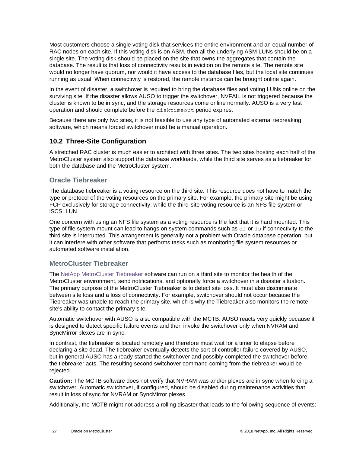Most customers choose a single voting disk that services the entire environment and an equal number of RAC nodes on each site. If this voting disk is on ASM, then all the underlying ASM LUNs should be on a single site. The voting disk should be placed on the site that owns the aggregates that contain the database. The result is that loss of connectivity results in eviction on the remote site. The remote site would no longer have quorum, nor would it have access to the database files, but the local site continues running as usual. When connectivity is restored, the remote instance can be brought online again.

In the event of disaster, a switchover is required to bring the database files and voting LUNs online on the surviving site. If the disaster allows AUSO to trigger the switchover, NVFAIL is not triggered because the cluster is known to be in sync, and the storage resources come online normally. AUSO is a very fast operation and should complete before the disktimeout period expires.

Because there are only two sites, it is not feasible to use any type of automated external tiebreaking software, which means forced switchover must be a manual operation.

## <span id="page-26-0"></span>**10.2 Three-Site Configuration**

A stretched RAC cluster is much easier to architect with three sites. The two sites hosting each half of the MetroCluster system also support the database workloads, while the third site serves as a tiebreaker for both the database and the MetroCluster system.

#### **Oracle Tiebreaker**

The database tiebreaker is a voting resource on the third site. This resource does not have to match the type or protocol of the voting resources on the primary site. For example, the primary site might be using FCP exclusively for storage connectivity, while the third-site voting resource is an NFS file system or iSCSI LUN.

One concern with using an NFS file system as a voting resource is the fact that it is hard mounted. This type of file system mount can lead to hangs on system commands such as  $df$  or  $1s$  if connectivity to the third site is interrupted. This arrangement is generally not a problem with Oracle database operation, but it can interfere with other software that performs tasks such as monitoring file system resources or automated software installation.

#### **MetroCluster Tiebreaker**

The [NetApp MetroCluster Tiebreaker](https://docs.netapp.com/ontap-9/topic/com.netapp.doc.hw-metrocluster-tiebreaker/GUID-3662A7CE-3AF2-4562-A11C-5C37DE0E3A87.html) software can run on a third site to monitor the health of the MetroCluster environment, send notifications, and optionally force a switchover in a disaster situation. The primary purpose of the MetroCluster Tiebreaker is to detect site loss. It must also discriminate between site loss and a loss of connectivity. For example, switchover should not occur because the Tiebreaker was unable to reach the primary site, which is why the Tiebreaker also monitors the remote site's ability to contact the primary site.

Automatic switchover with AUSO is also compatible with the MCTB. AUSO reacts very quickly because it is designed to detect specific failure events and then invoke the switchover only when NVRAM and SyncMirror plexes are in sync.

In contrast, the tiebreaker is located remotely and therefore must wait for a timer to elapse before declaring a site dead. The tiebreaker eventually detects the sort of controller failure covered by AUSO, but in general AUSO has already started the switchover and possibly completed the switchover before the tiebreaker acts. The resulting second switchover command coming from the tiebreaker would be rejected.

**Caution:** The MCTB software does not verify that NVRAM was and/or plexes are in sync when forcing a switchover. Automatic switchover, if configured, should be disabled during maintenance activities that result in loss of sync for NVRAM or SyncMirror plexes.

Additionally, the MCTB might not address a rolling disaster that leads to the following sequence of events: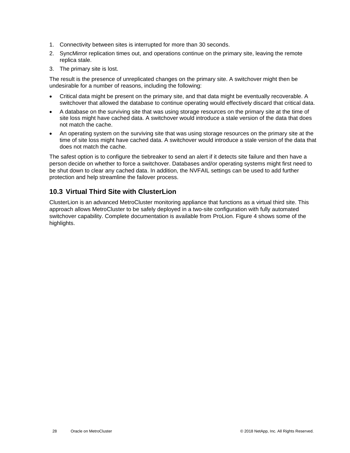- 1. Connectivity between sites is interrupted for more than 30 seconds.
- 2. SyncMirror replication times out, and operations continue on the primary site, leaving the remote replica stale.
- 3. The primary site is lost.

The result is the presence of unreplicated changes on the primary site. A switchover might then be undesirable for a number of reasons, including the following:

- Critical data might be present on the primary site, and that data might be eventually recoverable. A switchover that allowed the database to continue operating would effectively discard that critical data.
- A database on the surviving site that was using storage resources on the primary site at the time of site loss might have cached data. A switchover would introduce a stale version of the data that does not match the cache.
- An operating system on the surviving site that was using storage resources on the primary site at the time of site loss might have cached data. A switchover would introduce a stale version of the data that does not match the cache.

The safest option is to configure the tiebreaker to send an alert if it detects site failure and then have a person decide on whether to force a switchover. Databases and/or operating systems might first need to be shut down to clear any cached data. In addition, the NVFAIL settings can be used to add further protection and help streamline the failover process.

## <span id="page-27-0"></span>**10.3 Virtual Third Site with ClusterLion**

ClusterLion is an advanced MetroCluster monitoring appliance that functions as a virtual third site. This approach allows MetroCluster to be safely deployed in a two-site configuration with fully automated switchover capability. Complete documentation is available from ProLion. [Figure 4](#page-28-2) shows some of the highlights.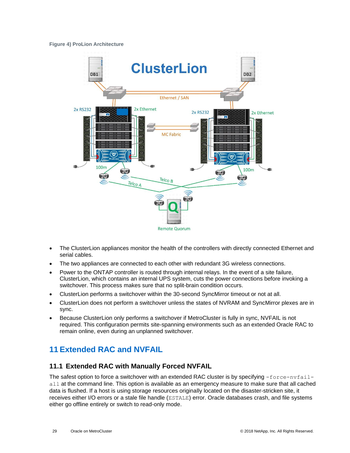#### <span id="page-28-2"></span>**Figure 4) ProLion Architecture**



- The ClusterLion appliances monitor the health of the controllers with directly connected Ethernet and serial cables.
- The two appliances are connected to each other with redundant 3G wireless connections.
- Power to the ONTAP controller is routed through internal relays. In the event of a site failure, ClusterLion, which contains an internal UPS system, cuts the power connections before invoking a switchover. This process makes sure that no split-brain condition occurs.
- ClusterLion performs a switchover within the 30-second SyncMirror timeout or not at all.
- ClusterLion does not perform a switchover unless the states of NVRAM and SyncMirror plexes are in sync.
- Because ClusterLion only performs a switchover if MetroCluster is fully in sync, NVFAIL is not required. This configuration permits site-spanning environments such as an extended Oracle RAC to remain online, even during an unplanned switchover.

## <span id="page-28-0"></span>**11 Extended RAC and NVFAIL**

#### <span id="page-28-1"></span>**11.1 Extended RAC with Manually Forced NVFAIL**

The safest option to force a switchover with an extended RAC cluster is by specifying  $-$ force-nvfailall at the command line. This option is available as an emergency measure to make sure that all cached data is flushed. If a host is using storage resources originally located on the disaster-stricken site, it receives either I/O errors or a stale file handle (ESTALE) error. Oracle databases crash, and file systems either go offline entirely or switch to read-only mode.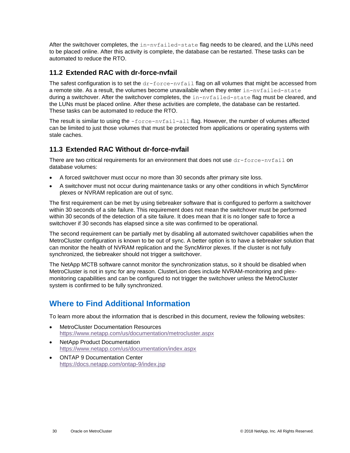After the switchover completes, the in-nvfailed-state flag needs to be cleared, and the LUNs need to be placed online. After this activity is complete, the database can be restarted. These tasks can be automated to reduce the RTO.

## <span id="page-29-0"></span>**11.2 Extended RAC with dr-force-nvfail**

The safest configuration is to set the  $dr$ -force-nvfail flag on all volumes that might be accessed from a remote site. As a result, the volumes become unavailable when they enter in-nvfailed-state during a switchover. After the switchover completes, the in-nvfailed-state flag must be cleared, and the LUNs must be placed online. After these activities are complete, the database can be restarted. These tasks can be automated to reduce the RTO.

The result is similar to using the  $-$ force-nvfail-all flag. However, the number of volumes affected can be limited to just those volumes that must be protected from applications or operating systems with stale caches.

## <span id="page-29-1"></span>**11.3 Extended RAC Without dr-force-nvfail**

There are two critical requirements for an environment that does not use  $dr$ -force-nvfail on database volumes:

- A forced switchover must occur no more than 30 seconds after primary site loss.
- A switchover must not occur during maintenance tasks or any other conditions in which SyncMirror plexes or NVRAM replication are out of sync.

The first requirement can be met by using tiebreaker software that is configured to perform a switchover within 30 seconds of a site failure. This requirement does not mean the switchover must be performed within 30 seconds of the detection of a site failure. It does mean that it is no longer safe to force a switchover if 30 seconds has elapsed since a site was confirmed to be operational.

The second requirement can be partially met by disabling all automated switchover capabilities when the MetroCluster configuration is known to be out of sync. A better option is to have a tiebreaker solution that can monitor the health of NVRAM replication and the SyncMirror plexes. If the cluster is not fully synchronized, the tiebreaker should not trigger a switchover.

The NetApp MCTB software cannot monitor the synchronization status, so it should be disabled when MetroCluster is not in sync for any reason. ClusterLion does include NVRAM-monitoring and plexmonitoring capabilities and can be configured to not trigger the switchover unless the MetroCluster system is confirmed to be fully synchronized.

## <span id="page-29-2"></span>**Where to Find Additional Information**

To learn more about the information that is described in this document, review the following websites:

- MetroCluster Documentation Resources <https://www.netapp.com/us/documentation/metrocluster.aspx>
- NetApp Product Documentation <https://www.netapp.com/us/documentation/index.aspx>
- ONTAP 9 Documentation Center <https://docs.netapp.com/ontap-9/index.jsp>